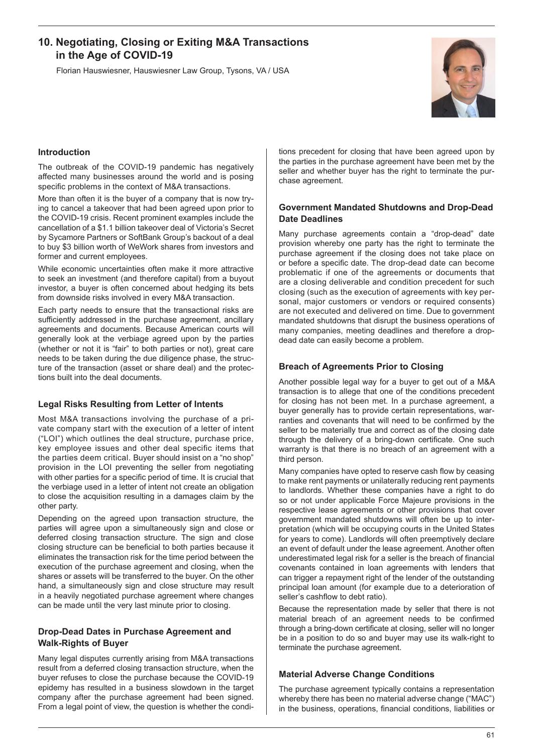# **10. Negotiating, Closing or Exiting M&A Transactions in the Age of COVID-19**

Florian Hauswiesner, Hauswiesner Law Group, Tysons, VA / USA



### **Introduction**

The outbreak of the COVID-19 pandemic has negatively affected many businesses around the world and is posing specific problems in the context of M&A transactions.

More than often it is the buyer of a company that is now trying to cancel a takeover that had been agreed upon prior to the COVID-19 crisis. Recent prominent examples include the cancellation of a \$1.1 billion takeover deal of Victoria's Secret by Sycamore Partners or SoftBank Group's backout of a deal to buy \$3 billion worth of WeWork shares from investors and former and current employees.

While economic uncertainties often make it more attractive to seek an investment (and therefore capital) from a buyout investor, a buyer is often concerned about hedging its bets from downside risks involved in every M&A transaction.

Each party needs to ensure that the transactional risks are sufficiently addressed in the purchase agreement, ancillary agreements and documents. Because American courts will generally look at the verbiage agreed upon by the parties (whether or not it is "fair" to both parties or not), great care needs to be taken during the due diligence phase, the structure of the transaction (asset or share deal) and the protections built into the deal documents.

#### **Legal Risks Resulting from Letter of Intents**

Most M&A transactions involving the purchase of a private company start with the execution of a letter of intent ("LOI") which outlines the deal structure, purchase price, key employee issues and other deal specific items that the parties deem critical. Buyer should insist on a "no shop" provision in the LOI preventing the seller from negotiating with other parties for a specific period of time. It is crucial that the verbiage used in a letter of intent not create an obligation to close the acquisition resulting in a damages claim by the other party.

Depending on the agreed upon transaction structure, the parties will agree upon a simultaneously sign and close or deferred closing transaction structure. The sign and close closing structure can be beneficial to both parties because it eliminates the transaction risk for the time period between the execution of the purchase agreement and closing, when the shares or assets will be transferred to the buyer. On the other hand, a simultaneously sign and close structure may result in a heavily negotiated purchase agreement where changes can be made until the very last minute prior to closing.

### **Drop-Dead Dates in Purchase Agreement and Walk-Rights of Buyer**

Many legal disputes currently arising from M&A transactions result from a deferred closing transaction structure, when the buyer refuses to close the purchase because the COVID-19 epidemy has resulted in a business slowdown in the target company after the purchase agreement had been signed. From a legal point of view, the question is whether the conditions precedent for closing that have been agreed upon by the parties in the purchase agreement have been met by the seller and whether buyer has the right to terminate the purchase agreement.

### **Government Mandated Shutdowns and Drop-Dead Date Deadlines**

Many purchase agreements contain a "drop-dead" date provision whereby one party has the right to terminate the purchase agreement if the closing does not take place on or before a specific date. The drop-dead date can become problematic if one of the agreements or documents that are a closing deliverable and condition precedent for such closing (such as the execution of agreements with key personal, major customers or vendors or required consents) are not executed and delivered on time. Due to government mandated shutdowns that disrupt the business operations of many companies, meeting deadlines and therefore a dropdead date can easily become a problem.

#### **Breach of Agreements Prior to Closing**

Another possible legal way for a buyer to get out of a M&A transaction is to allege that one of the conditions precedent for closing has not been met. In a purchase agreement, a buyer generally has to provide certain representations, warranties and covenants that will need to be confirmed by the seller to be materially true and correct as of the closing date through the delivery of a bring-down certificate. One such warranty is that there is no breach of an agreement with a third person.

Many companies have opted to reserve cash flow by ceasing to make rent payments or unilaterally reducing rent payments to landlords. Whether these companies have a right to do so or not under applicable Force Majeure provisions in the respective lease agreements or other provisions that cover government mandated shutdowns will often be up to interpretation (which will be occupying courts in the United States for years to come). Landlords will often preemptively declare an event of default under the lease agreement. Another often underestimated legal risk for a seller is the breach of financial covenants contained in loan agreements with lenders that can trigger a repayment right of the lender of the outstanding principal loan amount (for example due to a deterioration of seller's cashflow to debt ratio).

Because the representation made by seller that there is not material breach of an agreement needs to be confirmed through a bring-down certificate at closing, seller will no longer be in a position to do so and buyer may use its walk-right to terminate the purchase agreement.

### **Material Adverse Change Conditions**

The purchase agreement typically contains a representation whereby there has been no material adverse change ("MAC") in the business, operations, financial conditions, liabilities or